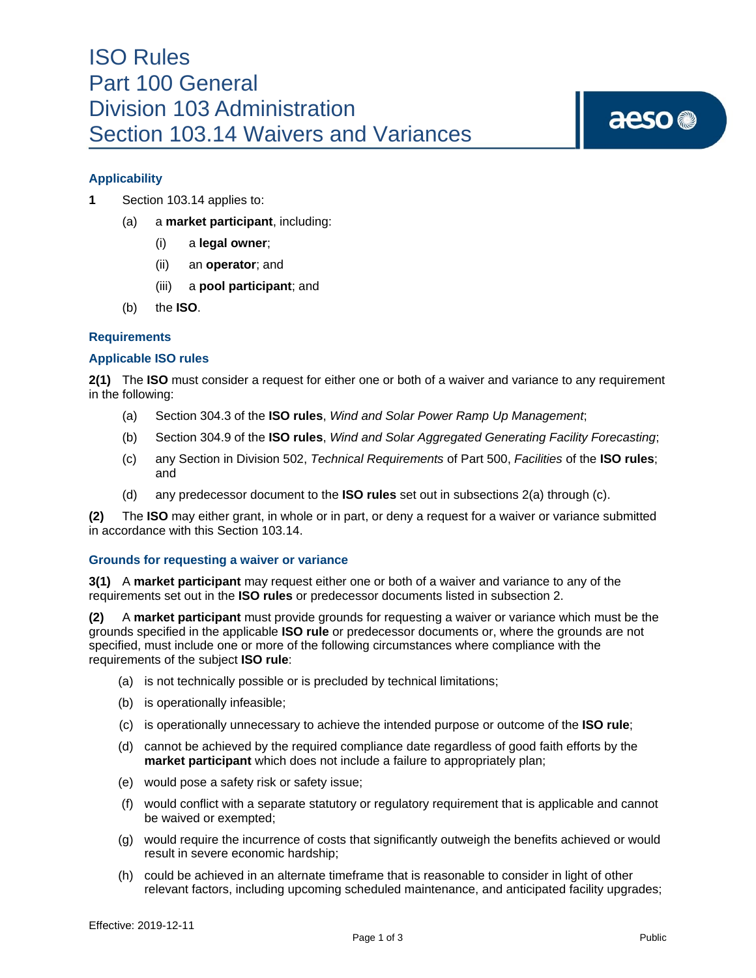# ISO Rules Part 100 General Division 103 Administration Section 103.14 Waivers and Variances

# aeso<sup>®</sup>

# **Applicability**

- **1** Section 103.14 applies to:
	- (a) a **market participant**, including:
		- (i) a **legal owner**;
		- (ii) an **operator**; and
		- (iii) a **pool participant**; and
	- (b) the **ISO**.

## **Requirements**

## **Applicable ISO rules**

**2(1)** The **ISO** must consider a request for either one or both of a waiver and variance to any requirement in the following:

- (a) Section 304.3 of the **ISO rules**, *Wind and Solar Power Ramp Up Management*;
- (b) Section 304.9 of the **ISO rules**, *Wind and Solar Aggregated Generating Facility Forecasting*;
- (c) any Section in Division 502, *Technical Requirements* of Part 500, *Facilities* of the **ISO rules**; and
- (d) any predecessor document to the **ISO rules** set out in subsections 2(a) through (c).

**(2)** The **ISO** may either grant, in whole or in part, or deny a request for a waiver or variance submitted in accordance with this Section 103.14.

### **Grounds for requesting a waiver or variance**

**3(1)** A **market participant** may request either one or both of a waiver and variance to any of the requirements set out in the **ISO rules** or predecessor documents listed in subsection 2.

**(2)** A **market participant** must provide grounds for requesting a waiver or variance which must be the grounds specified in the applicable **ISO rule** or predecessor documents or, where the grounds are not specified, must include one or more of the following circumstances where compliance with the requirements of the subject **ISO rule**:

- (a) is not technically possible or is precluded by technical limitations;
- (b) is operationally infeasible;
- (c) is operationally unnecessary to achieve the intended purpose or outcome of the **ISO rule**;
- (d) cannot be achieved by the required compliance date regardless of good faith efforts by the **market participant** which does not include a failure to appropriately plan;
- (e) would pose a safety risk or safety issue;
- (f) would conflict with a separate statutory or regulatory requirement that is applicable and cannot be waived or exempted;
- (g) would require the incurrence of costs that significantly outweigh the benefits achieved or would result in severe economic hardship;
- (h) could be achieved in an alternate timeframe that is reasonable to consider in light of other relevant factors, including upcoming scheduled maintenance, and anticipated facility upgrades;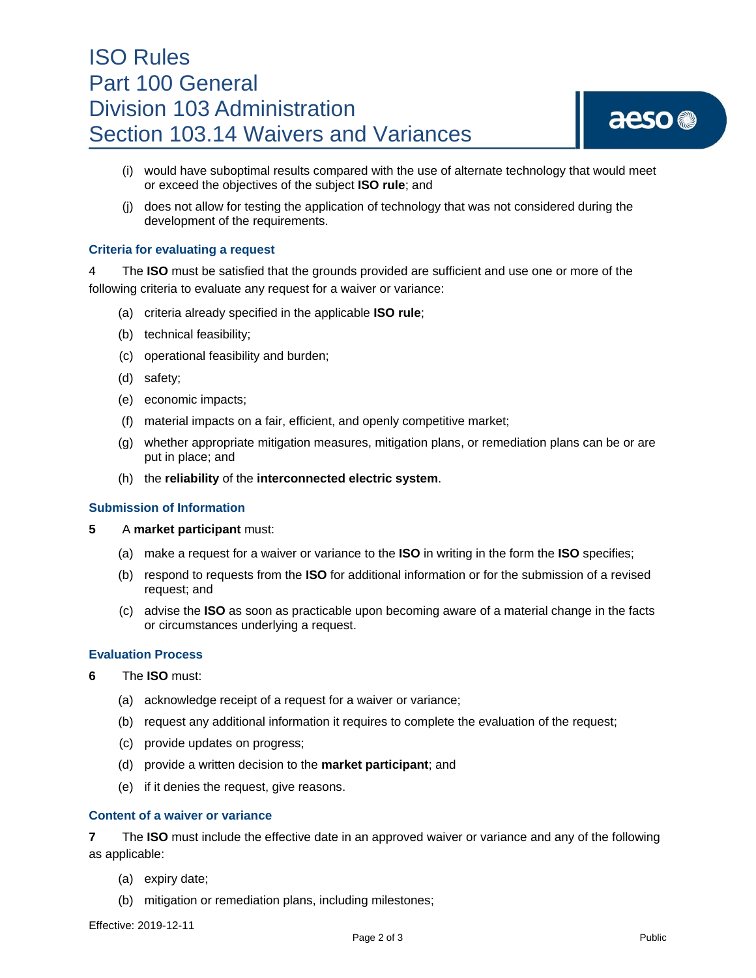# ISO Rules Part 100 General Division 103 Administration Section 103.14 Waivers and Variances

# aeso<sup>®</sup>

- (i) would have suboptimal results compared with the use of alternate technology that would meet or exceed the objectives of the subject **ISO rule**; and
- (j) does not allow for testing the application of technology that was not considered during the development of the requirements.

## **Criteria for evaluating a request**

4 The **ISO** must be satisfied that the grounds provided are sufficient and use one or more of the following criteria to evaluate any request for a waiver or variance:

- (a) criteria already specified in the applicable **ISO rule**;
- (b) technical feasibility;
- (c) operational feasibility and burden;
- (d) safety;
- (e) economic impacts;
- (f) material impacts on a fair, efficient, and openly competitive market;
- (g) whether appropriate mitigation measures, mitigation plans, or remediation plans can be or are put in place; and
- (h) the **reliability** of the **interconnected electric system**.

### **Submission of Information**

- **5** A **market participant** must:
	- (a) make a request for a waiver or variance to the **ISO** in writing in the form the **ISO** specifies;
	- (b) respond to requests from the **ISO** for additional information or for the submission of a revised request; and
	- (c) advise the **ISO** as soon as practicable upon becoming aware of a material change in the facts or circumstances underlying a request.

### **Evaluation Process**

- **6** The **ISO** must:
	- (a) acknowledge receipt of a request for a waiver or variance;
	- (b) request any additional information it requires to complete the evaluation of the request;
	- (c) provide updates on progress;
	- (d) provide a written decision to the **market participant**; and
	- (e) if it denies the request, give reasons.

### **Content of a waiver or variance**

**7** The **ISO** must include the effective date in an approved waiver or variance and any of the following as applicable:

- (a) expiry date;
- (b) mitigation or remediation plans, including milestones;